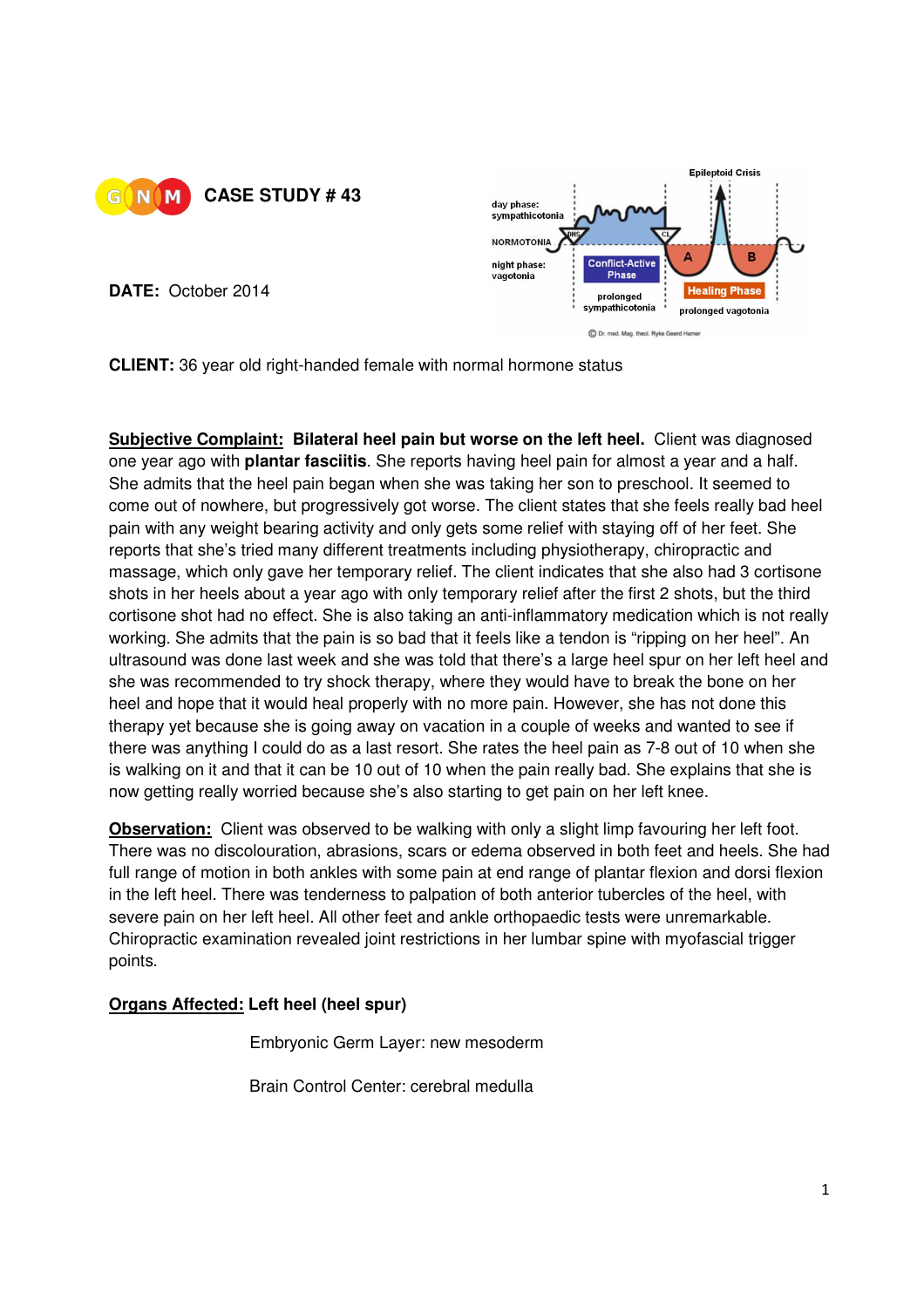



**DATE:** October 2014

**CLIENT:** 36 year old right-handed female with normal hormone status

**Subjective Complaint: Bilateral heel pain but worse on the left heel.** Client was diagnosed one year ago with **plantar fasciitis**. She reports having heel pain for almost a year and a half. She admits that the heel pain began when she was taking her son to preschool. It seemed to come out of nowhere, but progressively got worse. The client states that she feels really bad heel pain with any weight bearing activity and only gets some relief with staying off of her feet. She reports that she's tried many different treatments including physiotherapy, chiropractic and massage, which only gave her temporary relief. The client indicates that she also had 3 cortisone shots in her heels about a year ago with only temporary relief after the first 2 shots, but the third cortisone shot had no effect. She is also taking an anti-inflammatory medication which is not really working. She admits that the pain is so bad that it feels like a tendon is "ripping on her heel". An ultrasound was done last week and she was told that there's a large heel spur on her left heel and she was recommended to try shock therapy, where they would have to break the bone on her heel and hope that it would heal properly with no more pain. However, she has not done this therapy yet because she is going away on vacation in a couple of weeks and wanted to see if there was anything I could do as a last resort. She rates the heel pain as 7-8 out of 10 when she is walking on it and that it can be 10 out of 10 when the pain really bad. She explains that she is now getting really worried because she's also starting to get pain on her left knee.

**Observation:** Client was observed to be walking with only a slight limp favouring her left foot. There was no discolouration, abrasions, scars or edema observed in both feet and heels. She had full range of motion in both ankles with some pain at end range of plantar flexion and dorsi flexion in the left heel. There was tenderness to palpation of both anterior tubercles of the heel, with severe pain on her left heel. All other feet and ankle orthopaedic tests were unremarkable. Chiropractic examination revealed joint restrictions in her lumbar spine with myofascial trigger points.

## **Organs Affected: Left heel (heel spur)**

Embryonic Germ Layer: new mesoderm

Brain Control Center: cerebral medulla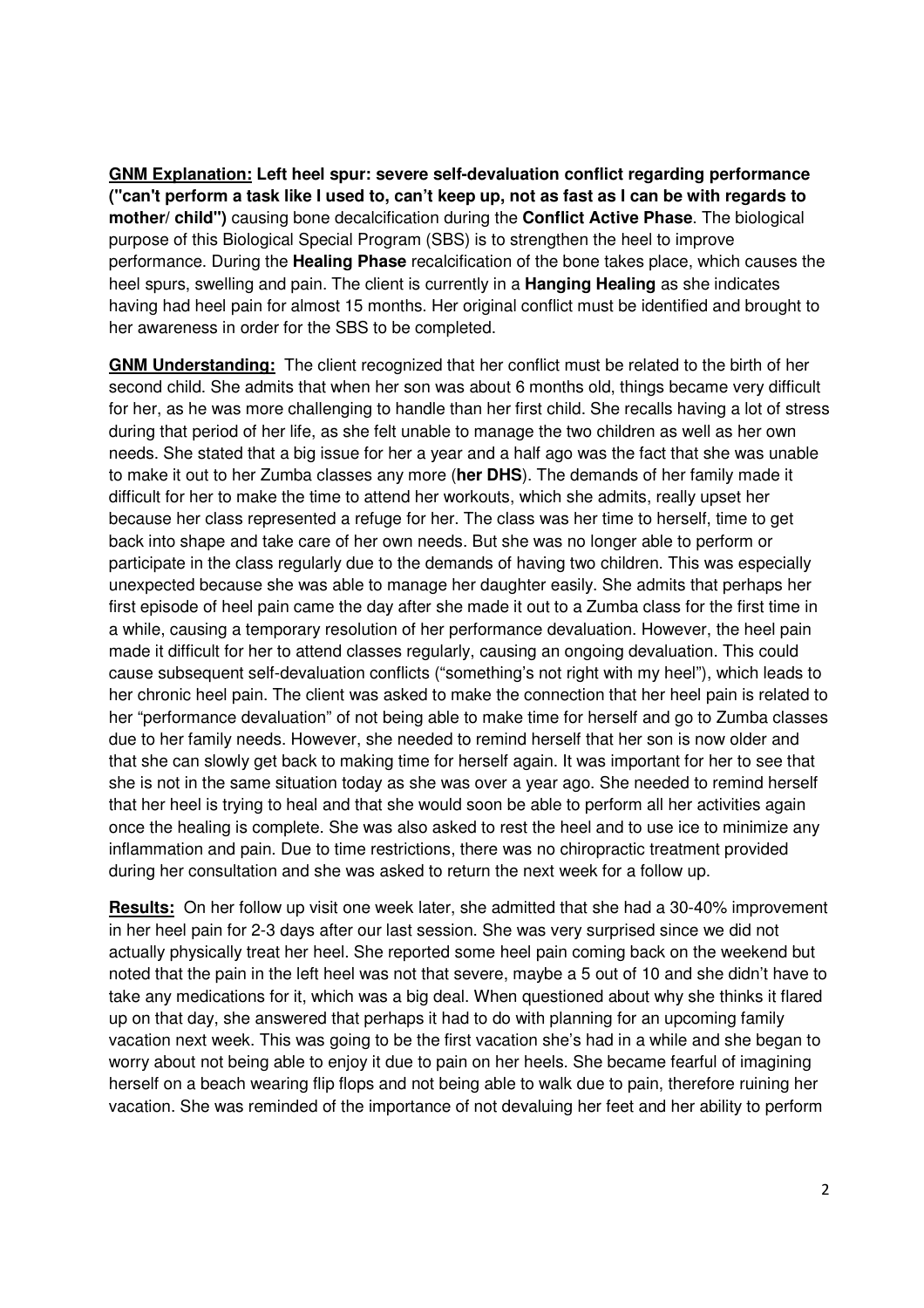**GNM Explanation: Left heel spur: severe self-devaluation conflict regarding performance ("can't perform a task like I used to, can't keep up, not as fast as I can be with regards to mother/ child")** causing bone decalcification during the **Conflict Active Phase**. The biological purpose of this Biological Special Program (SBS) is to strengthen the heel to improve performance. During the **Healing Phase** recalcification of the bone takes place, which causes the heel spurs, swelling and pain. The client is currently in a **Hanging Healing** as she indicates having had heel pain for almost 15 months. Her original conflict must be identified and brought to her awareness in order for the SBS to be completed.

**GNM Understanding:** The client recognized that her conflict must be related to the birth of her second child. She admits that when her son was about 6 months old, things became very difficult for her, as he was more challenging to handle than her first child. She recalls having a lot of stress during that period of her life, as she felt unable to manage the two children as well as her own needs. She stated that a big issue for her a year and a half ago was the fact that she was unable to make it out to her Zumba classes any more (**her DHS**). The demands of her family made it difficult for her to make the time to attend her workouts, which she admits, really upset her because her class represented a refuge for her. The class was her time to herself, time to get back into shape and take care of her own needs. But she was no longer able to perform or participate in the class regularly due to the demands of having two children. This was especially unexpected because she was able to manage her daughter easily. She admits that perhaps her first episode of heel pain came the day after she made it out to a Zumba class for the first time in a while, causing a temporary resolution of her performance devaluation. However, the heel pain made it difficult for her to attend classes regularly, causing an ongoing devaluation. This could cause subsequent self-devaluation conflicts ("something's not right with my heel"), which leads to her chronic heel pain. The client was asked to make the connection that her heel pain is related to her "performance devaluation" of not being able to make time for herself and go to Zumba classes due to her family needs. However, she needed to remind herself that her son is now older and that she can slowly get back to making time for herself again. It was important for her to see that she is not in the same situation today as she was over a year ago. She needed to remind herself that her heel is trying to heal and that she would soon be able to perform all her activities again once the healing is complete. She was also asked to rest the heel and to use ice to minimize any inflammation and pain. Due to time restrictions, there was no chiropractic treatment provided during her consultation and she was asked to return the next week for a follow up.

**Results:** On her follow up visit one week later, she admitted that she had a 30-40% improvement in her heel pain for 2-3 days after our last session. She was very surprised since we did not actually physically treat her heel. She reported some heel pain coming back on the weekend but noted that the pain in the left heel was not that severe, maybe a 5 out of 10 and she didn't have to take any medications for it, which was a big deal. When questioned about why she thinks it flared up on that day, she answered that perhaps it had to do with planning for an upcoming family vacation next week. This was going to be the first vacation she's had in a while and she began to worry about not being able to enjoy it due to pain on her heels. She became fearful of imagining herself on a beach wearing flip flops and not being able to walk due to pain, therefore ruining her vacation. She was reminded of the importance of not devaluing her feet and her ability to perform